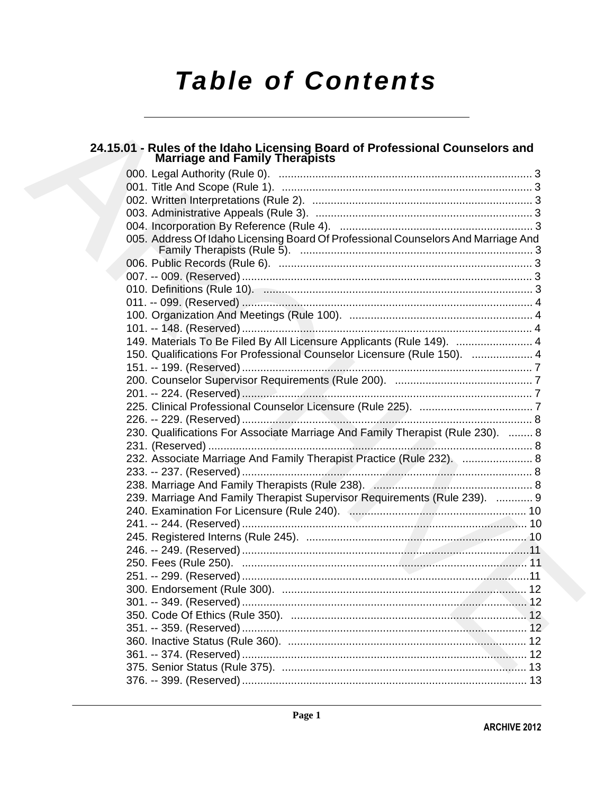# **Table of Contents**

## 24.15.01 - Rules of the Idaho Licensing Board of Professional Counselors and<br>Marriage and Family Therapists

| 005. Address Of Idaho Licensing Board Of Professional Counselors And Marriage And |    |
|-----------------------------------------------------------------------------------|----|
|                                                                                   |    |
|                                                                                   |    |
|                                                                                   |    |
|                                                                                   |    |
|                                                                                   |    |
|                                                                                   |    |
| 149. Materials To Be Filed By All Licensure Applicants (Rule 149).  4             |    |
| 150. Qualifications For Professional Counselor Licensure (Rule 150).  4           |    |
|                                                                                   |    |
|                                                                                   |    |
|                                                                                   |    |
|                                                                                   |    |
|                                                                                   |    |
| 230. Qualifications For Associate Marriage And Family Therapist (Rule 230).  8    |    |
|                                                                                   |    |
| 232. Associate Marriage And Family Therapist Practice (Rule 232).  8              |    |
|                                                                                   |    |
|                                                                                   |    |
| 239. Marriage And Family Therapist Supervisor Requirements (Rule 239).  9         |    |
|                                                                                   |    |
|                                                                                   |    |
|                                                                                   |    |
|                                                                                   |    |
|                                                                                   |    |
|                                                                                   |    |
|                                                                                   |    |
|                                                                                   |    |
|                                                                                   | 12 |
|                                                                                   |    |
|                                                                                   |    |
|                                                                                   |    |
|                                                                                   |    |
|                                                                                   |    |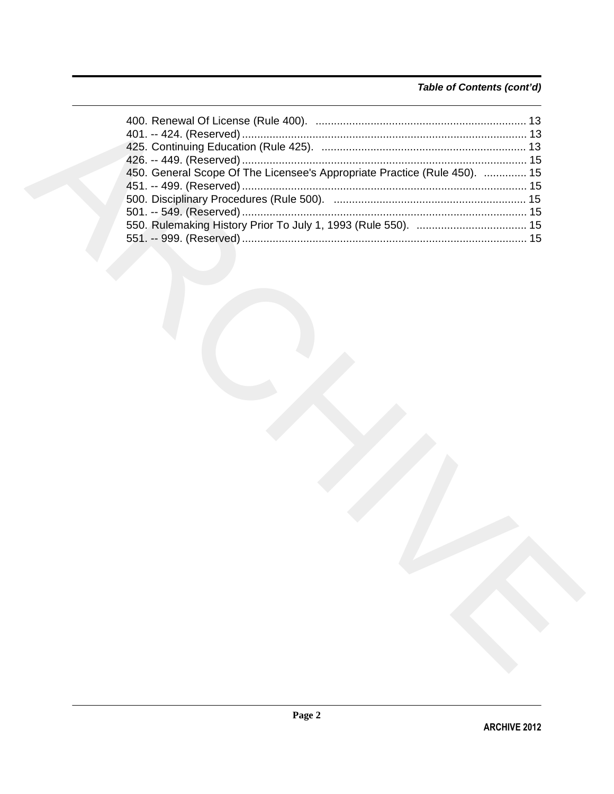### Table of Contents (cont'd)

| 450. General Scope Of The Licensee's Appropriate Practice (Rule 450).  15 |  |
|---------------------------------------------------------------------------|--|
|                                                                           |  |
|                                                                           |  |
|                                                                           |  |
|                                                                           |  |
|                                                                           |  |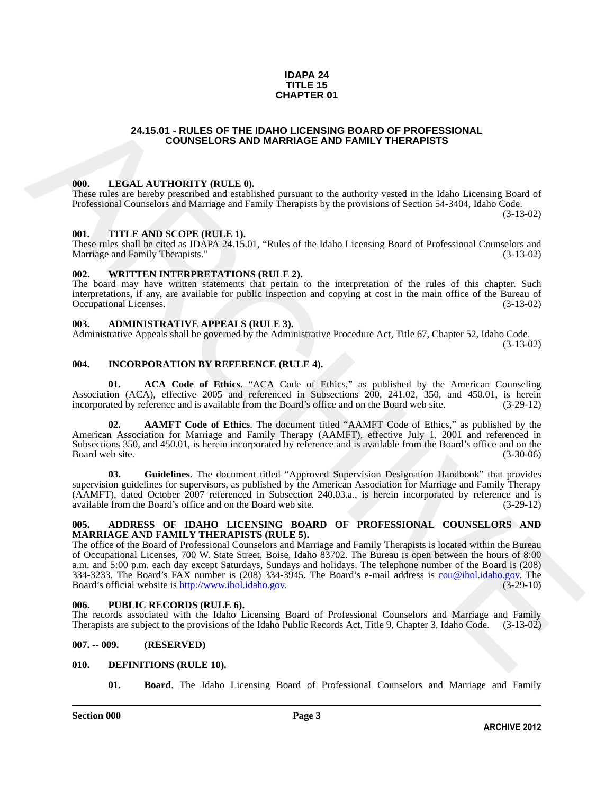### **IDAPA 24 TITLE 15 CHAPTER 01**

### **24.15.01 - RULES OF THE IDAHO LICENSING BOARD OF PROFESSIONAL COUNSELORS AND MARRIAGE AND FAMILY THERAPISTS**

### <span id="page-2-1"></span>**000. LEGAL AUTHORITY (RULE 0).**

These rules are hereby prescribed and established pursuant to the authority vested in the Idaho Licensing Board of Professional Counselors and Marriage and Family Therapists by the provisions of Section 54-3404, Idaho Code. (3-13-02)

### <span id="page-2-2"></span>**001. TITLE AND SCOPE (RULE 1).**

These rules shall be cited as IDAPA 24.15.01, "Rules of the Idaho Licensing Board of Professional Counselors and Marriage and Family Therapists." (3-13-02) Marriage and Family Therapists."

### <span id="page-2-3"></span>**002. WRITTEN INTERPRETATIONS (RULE 2).**

The board may have written statements that pertain to the interpretation of the rules of this chapter. Such interpretations, if any, are available for public inspection and copying at cost in the main office of the Bureau of Occupational Licenses. (3-13-02)

### <span id="page-2-4"></span>**003. ADMINISTRATIVE APPEALS (RULE 3).**

Administrative Appeals shall be governed by the Administrative Procedure Act, Title 67, Chapter 52, Idaho Code.

(3-13-02)

### <span id="page-2-5"></span>**004. INCORPORATION BY REFERENCE (RULE 4).**

**01. ACA Code of Ethics**. "ACA Code of Ethics," as published by the American Counseling Association (ACA), effective 2005 and referenced in Subsections 200, 241.02, 350, and 450.01, is herein incorporated by reference and is available from the Board's office and on the Board web site. (3-29-12) incorporated by reference and is available from the Board's office and on the Board web site.

**02. AAMFT Code of Ethics**. The document titled "AAMFT Code of Ethics," as published by the American Association for Marriage and Family Therapy (AAMFT), effective July 1, 2001 and referenced in Subsections 350, and 450.01, is herein incorporated by reference and is available from the Board's office and on the Board web site. (3-30-06)

**03. Guidelines**. The document titled "Approved Supervision Designation Handbook" that provides supervision guidelines for supervisors, as published by the American Association for Marriage and Family Therapy (AAMFT), dated October 2007 referenced in Subsection 240.03.a., is herein incorporated by reference and is available from the Board's office and on the Board web site. (3-29-12)

### <span id="page-2-6"></span>**005. ADDRESS OF IDAHO LICENSING BOARD OF PROFESSIONAL COUNSELORS AND MARRIAGE AND FAMILY THERAPISTS (RULE 5).**

<span id="page-2-0"></span>24.15.01 - RULES OF THE IDANIO LICENSING BOARD OF PROFESSIONAL<br>
COUNSELORS AND MARRIAGE AND FAMILY THERAPISTS<br>
16. LEGAL AITTIOTIOTY (RTLE), the state is the univority vested in the klabs I lemand of<br>
These rules on brevi The office of the Board of Professional Counselors and Marriage and Family Therapists is located within the Bureau of Occupational Licenses, 700 W. State Street, Boise, Idaho 83702. The Bureau is open between the hours of 8:00 a.m. and 5:00 p.m. each day except Saturdays, Sundays and holidays. The telephone number of the Board is (208) 334-3233. The Board's FAX number is  $(208)$  334-3945. The Board's e-mail address is cou@ibol.idaho.gov. The Board's official website is http://www.ibol.idaho.gov.  $(3-29-10)$ Board's official website is http://www.ibol.idaho.gov.

### <span id="page-2-7"></span>**006. PUBLIC RECORDS (RULE 6).**

The records associated with the Idaho Licensing Board of Professional Counselors and Marriage and Family Therapists are subject to the provisions of the Idaho Public Records Act, Title 9, Chapter 3, Idaho Code. (3-13-02) Therapists are subject to the provisions of the Idaho Public Records Act, Title 9, Chapter 3, Idaho Code.

### <span id="page-2-8"></span>**007. -- 009. (RESERVED)**

### <span id="page-2-9"></span>**010. DEFINITIONS (RULE 10).**

<span id="page-2-11"></span><span id="page-2-10"></span>**01. Board**. The Idaho Licensing Board of Professional Counselors and Marriage and Family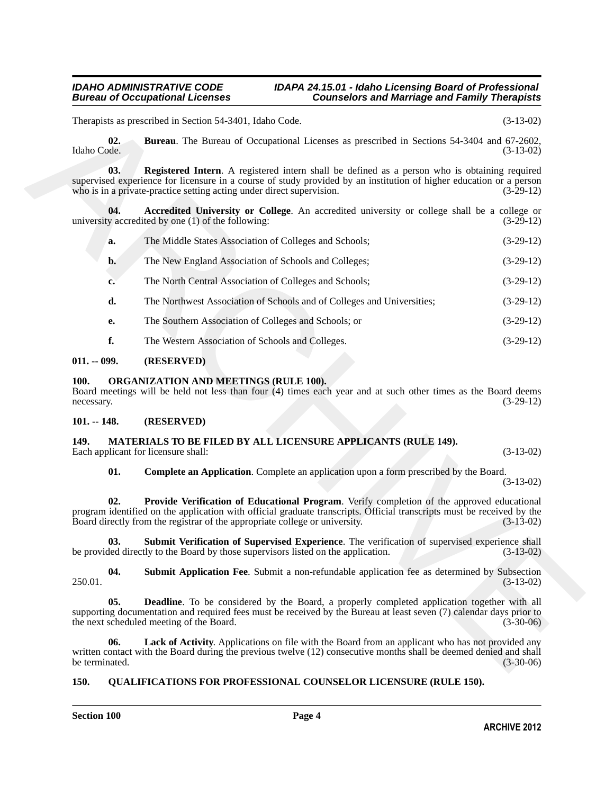<span id="page-3-7"></span><span id="page-3-6"></span><span id="page-3-5"></span>

|                       | Therapists as prescribed in Section 54-3401, Idaho Code.                                                                                                                                                                                                                                             | $(3-13-02)$ |  |  |  |  |
|-----------------------|------------------------------------------------------------------------------------------------------------------------------------------------------------------------------------------------------------------------------------------------------------------------------------------------------|-------------|--|--|--|--|
| 02.<br>Idaho Code.    | <b>Bureau</b> . The Bureau of Occupational Licenses as prescribed in Sections 54-3404 and 67-2602,                                                                                                                                                                                                   | $(3-13-02)$ |  |  |  |  |
| 03.                   | <b>Registered Intern.</b> A registered intern shall be defined as a person who is obtaining required<br>supervised experience for licensure in a course of study provided by an institution of higher education or a person<br>who is in a private-practice setting acting under direct supervision. | $(3-29-12)$ |  |  |  |  |
| 04.                   | Accredited University or College. An accredited university or college shall be a college or<br>university accredited by one (1) of the following:                                                                                                                                                    | $(3-29-12)$ |  |  |  |  |
| a.                    | The Middle States Association of Colleges and Schools;                                                                                                                                                                                                                                               | $(3-29-12)$ |  |  |  |  |
| b.                    | The New England Association of Schools and Colleges;                                                                                                                                                                                                                                                 | $(3-29-12)$ |  |  |  |  |
| c.                    | The North Central Association of Colleges and Schools;                                                                                                                                                                                                                                               | $(3-29-12)$ |  |  |  |  |
| d.                    | The Northwest Association of Schools and of Colleges and Universities;                                                                                                                                                                                                                               | $(3-29-12)$ |  |  |  |  |
| e.                    | The Southern Association of Colleges and Schools; or                                                                                                                                                                                                                                                 | $(3-29-12)$ |  |  |  |  |
| f.                    | The Western Association of Schools and Colleges.                                                                                                                                                                                                                                                     | $(3-29-12)$ |  |  |  |  |
| $011. - 099.$         | (RESERVED)                                                                                                                                                                                                                                                                                           |             |  |  |  |  |
| 100.<br>necessary.    | <b>ORGANIZATION AND MEETINGS (RULE 100).</b><br>Board meetings will be held not less than four (4) times each year and at such other times as the Board deems<br>$(3-29-12)$                                                                                                                         |             |  |  |  |  |
| $101. - 148.$         | (RESERVED)                                                                                                                                                                                                                                                                                           |             |  |  |  |  |
| 149.                  | MATERIALS TO BE FILED BY ALL LICENSURE APPLICANTS (RULE 149).<br>Each applicant for licensure shall:<br>$(3-13-02)$                                                                                                                                                                                  |             |  |  |  |  |
| 01.                   | <b>Complete an Application.</b> Complete an application upon a form prescribed by the Board.                                                                                                                                                                                                         | $(3-13-02)$ |  |  |  |  |
| 02.                   | Provide Verification of Educational Program. Verify completion of the approved educational<br>program identified on the application with official graduate transcripts. Official transcripts must be received by the<br>Board directly from the registrar of the appropriate college or university.  |             |  |  |  |  |
| 03.                   | Submit Verification of Supervised Experience. The verification of supervised experience shall<br>be provided directly to the Board by those supervisors listed on the application.                                                                                                                   | $(3-13-02)$ |  |  |  |  |
| 04.<br>250.01.        | Submit Application Fee. Submit a non-refundable application fee as determined by Subsection                                                                                                                                                                                                          | $(3-13-02)$ |  |  |  |  |
| 05.                   | <b>Deadline</b> . To be considered by the Board, a properly completed application together with all<br>supporting documentation and required fees must be received by the Bureau at least seven (7) calendar days prior to<br>the next scheduled meeting of the Board.                               | $(3-30-06)$ |  |  |  |  |
| 06.<br>be terminated. | Lack of Activity. Applications on file with the Board from an applicant who has not provided any<br>written contact with the Board during the previous twelve (12) consecutive months shall be deemed denied and shall                                                                               | $(3-30-06)$ |  |  |  |  |

### <span id="page-3-0"></span>**011. -- 099. (RESERVED)**

### <span id="page-3-15"></span><span id="page-3-1"></span>**100. ORGANIZATION AND MEETINGS (RULE 100).**

### <span id="page-3-2"></span>**101. -- 148. (RESERVED)**

### <span id="page-3-14"></span><span id="page-3-12"></span><span id="page-3-9"></span><span id="page-3-8"></span><span id="page-3-3"></span>**149. MATERIALS TO BE FILED BY ALL LICENSURE APPLICANTS (RULE 149).** Each applicant for licensure shall: (3-13-02) (3-13-02)

### <span id="page-3-16"></span><span id="page-3-13"></span><span id="page-3-11"></span><span id="page-3-10"></span><span id="page-3-4"></span>**150. QUALIFICATIONS FOR PROFESSIONAL COUNSELOR LICENSURE (RULE 150).**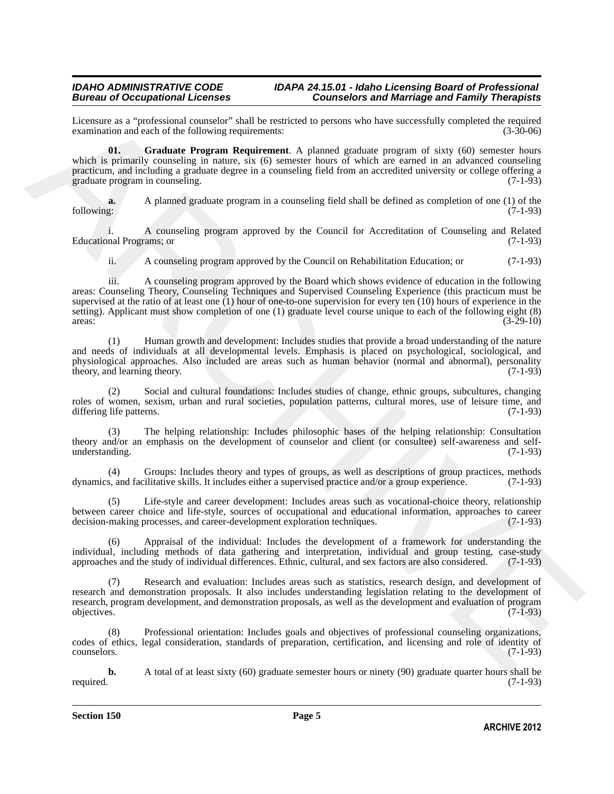## *IDAHO ADMINISTRATIVE CODE IDAPA 24.15.01 - Idaho Licensing Board of Professional*

## **Counselors and Marriage and Family Therapists**

Licensure as a "professional counselor" shall be restricted to persons who have successfully completed the required examination and each of the following requirements:

<span id="page-4-0"></span>**01. Graduate Program Requirement**. A planned graduate program of sixty (60) semester hours which is primarily counseling in nature, six (6) semester hours of which are earned in an advanced counseling practicum, and including a graduate degree in a counseling field from an accredited university or college offering a graduate program in counseling.

**a.** A planned graduate program in a counseling field shall be defined as completion of one (1) of the following: (7-1-93) following: (7-1-93)

i. A counseling program approved by the Council for Accreditation of Counseling and Related Educational Programs; or

ii. A counseling program approved by the Council on Rehabilitation Education; or (7-1-93)

These<br>members is a "professional constant deal in constant process who have careed<br>thy completed the Constant C and the stationary equivalence in the constant of the Constant C and<br>the Constant of the Constant C and C and iii. A counseling program approved by the Board which shows evidence of education in the following areas: Counseling Theory, Counseling Techniques and Supervised Counseling Experience (this practicum must be supervised at the ratio of at least one (1) hour of one-to-one supervision for every ten (10) hours of experience in the setting). Applicant must show completion of one (1) graduate level course unique to each of the following eight (8) areas: (3-29-10)  $\frac{1}{3-29-10}$  (3-29-10)

(1) Human growth and development: Includes studies that provide a broad understanding of the nature and needs of individuals at all developmental levels. Emphasis is placed on psychological, sociological, and physiological approaches. Also included are areas such as human behavior (normal and abnormal), personality theory, and learning theory. (7-1-93) theory, and learning theory.

(2) Social and cultural foundations: Includes studies of change, ethnic groups, subcultures, changing roles of women, sexism, urban and rural societies, population patterns, cultural mores, use of leisure time, and differing life patterns. (7-1-93) differing life patterns.

(3) The helping relationship: Includes philosophic bases of the helping relationship: Consultation theory and/or an emphasis on the development of counselor and client (or consultee) self-awareness and selfunderstanding. (7-1-93)

(4) Groups: Includes theory and types of groups, as well as descriptions of group practices, methods dynamics, and facilitative skills. It includes either a supervised practice and/or a group experience. (7-1-93)

Life-style and career development: Includes areas such as vocational-choice theory, relationship between career choice and life-style, sources of occupational and educational information, approaches to career decision-making processes, and career-development exploration techniques. (7-1-93) decision-making processes, and career-development exploration techniques.

(6) Appraisal of the individual: Includes the development of a framework for understanding the individual, including methods of data gathering and interpretation, individual and group testing, case-study approaches and the study of individual differences. Ethnic, cultural, and sex factors are also considered. (7-1-9 approaches and the study of individual differences. Ethnic, cultural, and sex factors are also considered.

Research and evaluation: Includes areas such as statistics, research design, and development of research and demonstration proposals. It also includes understanding legislation relating to the development of research, program development, and demonstration proposals, as well as the development and evaluation of program objectives. (7-1-93) objectives. (7-1-93)

(8) Professional orientation: Includes goals and objectives of professional counseling organizations, codes of ethics, legal consideration, standards of preparation, certification, and licensing and role of identity of counselors. (7-1-93)

**b.** A total of at least sixty (60) graduate semester hours or ninety (90) graduate quarter hours shall be required. (7-1-93) required. (7-1-93)

**Section 150 Page 5**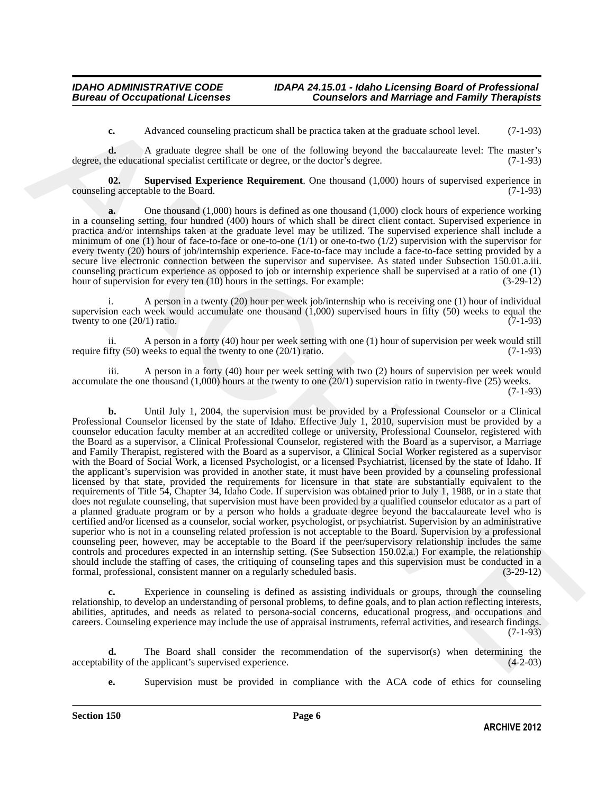<span id="page-5-0"></span>**c.** Advanced counseling practicum shall be practica taken at the graduate school level. (7-1-93)

**d.** A graduate degree shall be one of the following beyond the baccalaureate level: The master's degree, the educational specialist certificate or degree, or the doctor's degree. (7-1-93)

**02. Supervised Experience Requirement**. One thousand (1,000) hours of supervised experience in ng acceptable to the Board. (7-1-93) counseling acceptable to the Board.

**a.** One thousand (1,000) hours is defined as one thousand (1,000) clock hours of experience working in a counseling setting, four hundred (400) hours of which shall be direct client contact. Supervised experience in practica and/or internships taken at the graduate level may be utilized. The supervised experience shall include a minimum of one (1) hour of face-to-face or one-to-one  $(1/1)$  or one-to-two  $(1/2)$  supervision with the supervisor for every twenty (20) hours of job/internship experience. Face-to-face may include a face-to-face setting provided by a secure live electronic connection between the supervisor and supervisee. As stated under Subsection 150.01.a.iii. counseling practicum experience as opposed to job or internship experience shall be supervised at a ratio of one (1) hour of supervision for every ten (10) hours in the settings. For example:  $(3-29-12)$ hour of supervision for every ten (10) hours in the settings. For example:

A person in a twenty (20) hour per week job/internship who is receiving one (1) hour of individual supervision each week would accumulate one thousand  $(1,000)$  supervised hours in fifty (50) weeks to equal the twenty to one  $(20/1)$  ratio. twenty to one  $(20/1)$  ratio.

ii. A person in a forty (40) hour per week setting with one (1) hour of supervision per week would still require fifty  $(50)$  weeks to equal the twenty to one  $(20/1)$  ratio.  $(7-1-93)$ 

iii. A person in a forty (40) hour per week setting with two (2) hours of supervision per week would accumulate the one thousand (1,000) hours at the twenty to one (20/1) supervision ratio in twenty-five (25) weeks. (7-1-93)

A channel instantion band be practical densities and methods. (7.193)<br>
degrees, the Againet A consistent and the production of the showing by specific between two states and a consistent<br>
degrees the Summarization of the **b.** Until July 1, 2004, the supervision must be provided by a Professional Counselor or a Clinical Professional Counselor licensed by the state of Idaho. Effective July 1, 2010, supervision must be provided by a counselor education faculty member at an accredited college or university, Professional Counselor, registered with the Board as a supervisor, a Clinical Professional Counselor, registered with the Board as a supervisor, a Marriage and Family Therapist, registered with the Board as a supervisor, a Clinical Social Worker registered as a supervisor with the Board of Social Work, a licensed Psychologist, or a licensed Psychiatrist, licensed by the state of Idaho. If the applicant's supervision was provided in another state, it must have been provided by a counseling professional licensed by that state, provided the requirements for licensure in that state are substantially equivalent to the requirements of Title 54, Chapter 34, Idaho Code. If supervision was obtained prior to July 1, 1988, or in a state that does not regulate counseling, that supervision must have been provided by a qualified counselor educator as a part of a planned graduate program or by a person who holds a graduate degree beyond the baccalaureate level who is certified and/or licensed as a counselor, social worker, psychologist, or psychiatrist. Supervision by an administrative superior who is not in a counseling related profession is not acceptable to the Board. Supervision by a professional counseling peer, however, may be acceptable to the Board if the peer/supervisory relationship includes the same controls and procedures expected in an internship setting. (See Subsection 150.02.a.) For example, the relationship should include the staffing of cases, the critiquing of counseling tapes and this supervision must be conducted in a formal, professional, consistent manner on a regularly scheduled basis. (3-29-12) formal, professional, consistent manner on a regularly scheduled basis.

Experience in counseling is defined as assisting individuals or groups, through the counseling relationship, to develop an understanding of personal problems, to define goals, and to plan action reflecting interests, abilities, aptitudes, and needs as related to persona-social concerns, educational progress, and occupations and careers. Counseling experience may include the use of appraisal instruments, referral activities, and research findings. (7-1-93)

The Board shall consider the recommendation of the supervisor(s) when determining the acceptability of the applicant's supervised experience. (4-2-03)

**e.** Supervision must be provided in compliance with the ACA code of ethics for counseling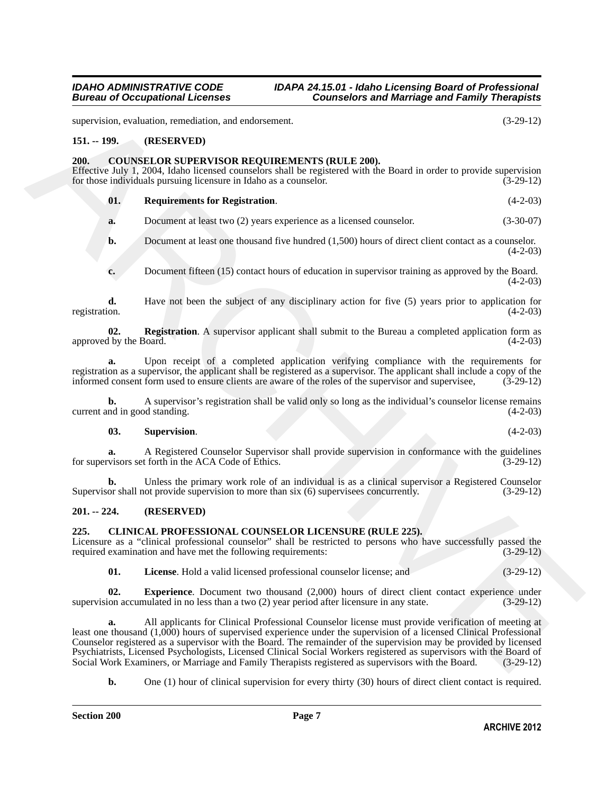# <span id="page-6-0"></span>**151. -- 199. (RESERVED)**

<span id="page-6-7"></span><span id="page-6-1"></span>**200. COUNSELOR SUPERVISOR REQUIREMENTS (RULE 200).** Effective July 1, 2004, Idaho licensed counselors shall be registered with the Board in order to provide supervision for those individuals pursuing licensure in Idaho as a counselor. (3-29-12) for those individuals pursuing licensure in Idaho as a counselor.

| 01. | <b>Requirements for Registration.</b> | $(4-2-03)$ |
|-----|---------------------------------------|------------|
|     |                                       |            |

<span id="page-6-9"></span>**a.** Document at least two (2) years experience as a licensed counselor. (3-30-07)

**b.** Document at least one thousand five hundred (1,500) hours of direct client contact as a counselor.  $(4-2-03)$ 

<span id="page-6-8"></span>**c.** Document fifteen (15) contact hours of education in supervisor training as approved by the Board. (4-2-03)

**d.** Have not been the subject of any disciplinary action for five (5) years prior to application for registration.  $(4-2-03)$ registration. (4-2-03)

**02. Registration**. A supervisor applicant shall submit to the Bureau a completed application form as 1 by the Board. (4-2-03) approved by the Board.

**a.** Upon receipt of a completed application verifying compliance with the requirements for registration as a supervisor, the applicant shall be registered as a supervisor. The applicant shall include a copy of the informed consent form used to ensure clients are aware of the roles of the supervisor and supervise informed consent form used to ensure clients are aware of the roles of the supervisor and supervisee,

**b.** A supervisor's registration shall be valid only so long as the individual's counselor license remains current and in good standing.

### <span id="page-6-10"></span>**03. Supervision**. (4-2-03)

**a.** A Registered Counselor Supervisor shall provide supervision in conformance with the guidelines visors set forth in the ACA Code of Ethics. (3-29-12) for supervisors set forth in the ACA Code of Ethics.

**b.** Unless the primary work role of an individual is as a clinical supervisor a Registered Counselor or shall not provide supervision to more than six (6) supervises concurrently. (3-29-12) Supervisor shall not provide supervision to more than six (6) supervisees concurrently.

### <span id="page-6-2"></span>**201. -- 224. (RESERVED)**

### <span id="page-6-4"></span><span id="page-6-3"></span>**225. CLINICAL PROFESSIONAL COUNSELOR LICENSURE (RULE 225).**

Licensure as a "clinical professional counselor" shall be restricted to persons who have successfully passed the required examination and have met the following requirements:  $(3-29-12)$ required examination and have met the following requirements:

<span id="page-6-6"></span><span id="page-6-5"></span>**01. License**. Hold a valid licensed professional counselor license; and (3-29-12)

**02. Experience**. Document two thousand (2,000) hours of direct client contact experience under on accumulated in no less than a two (2) year period after licensure in any state. (3-29-12) supervision accumulated in no less than a two  $(2)$  year period after licensure in any state.

supervision, containing, provides from densing and conformers.<br>
(3.29.12)<br>
151. - **(RESERVENCES) RECOURENT/SYIS (RELE 200)**<br>
2001. **COUNSEL ON SUPERVISOR RECOURENT/SYIS (RELE 200)**<br>
2006. **COUNSEL (15. Kind)** Excluding pr **a.** All applicants for Clinical Professional Counselor license must provide verification of meeting at least one thousand (1,000) hours of supervised experience under the supervision of a licensed Clinical Professional Counselor registered as a supervisor with the Board. The remainder of the supervision may be provided by licensed Psychiatrists, Licensed Psychologists, Licensed Clinical Social Workers registered as supervisors with the Board of Social Work Examiners, or Marriage and Family Therapists registered as supervisors with the Board.

**b.** One (1) hour of clinical supervision for every thirty (30) hours of direct client contact is required.

supervision, evaluation, remediation, and endorsement. (3-29-12)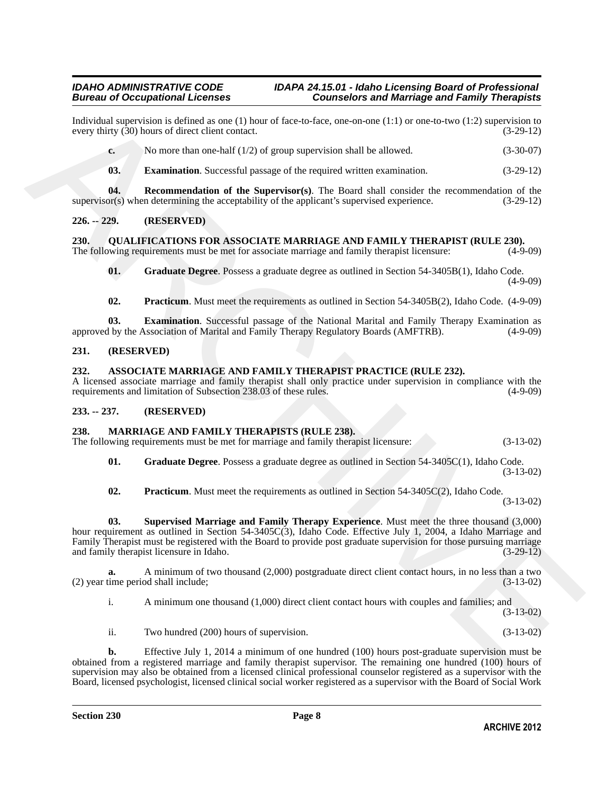Individual supervision is defined as one (1) hour of face-to-face, one-on-one (1:1) or one-to-two (1:2) supervision to every thirty  $(30)$  hours of direct client contact.

**c.** No more than one-half (1/2) of group supervision shall be allowed. (3-30-07)

<span id="page-7-8"></span><span id="page-7-7"></span>**03. Examination**. Successful passage of the required written examination. (3-29-12)

**04. Recommendation of the Supervisor(s)**. The Board shall consider the recommendation of the or(s) when determining the acceptability of the applicant's supervised experience. (3-29-12) supervisor(s) when determining the acceptability of the applicant's supervised experience.

### <span id="page-7-0"></span>**226. -- 229. (RESERVED)**

<span id="page-7-13"></span><span id="page-7-1"></span>**230. QUALIFICATIONS FOR ASSOCIATE MARRIAGE AND FAMILY THERAPIST (RULE 230).** The following requirements must be met for associate marriage and family therapist licensure: (4-9-09)

<span id="page-7-15"></span>**01. Graduate Degree**. Possess a graduate degree as outlined in Section 54-3405B(1), Idaho Code. (4-9-09)

<span id="page-7-16"></span><span id="page-7-14"></span>**02. Practicum**. Must meet the requirements as outlined in Section 54-3405B(2), Idaho Code. (4-9-09)

**03. Examination**. Successful passage of the National Marital and Family Therapy Examination as <br>1 by the Association of Marital and Family Therapy Regulatory Boards (AMFTRB). (4-9-09) approved by the Association of Marital and Family Therapy Regulatory Boards (AMFTRB).

### <span id="page-7-2"></span>**231. (RESERVED)**

### <span id="page-7-6"></span><span id="page-7-3"></span>**232. ASSOCIATE MARRIAGE AND FAMILY THERAPIST PRACTICE (RULE 232).**

A licensed associate marriage and family therapist shall only practice under supervision in compliance with the requirements and limitation of Subsection 238.03 of these rules. (4-9-09) requirements and limitation of Subsection 238.03 of these rules.

### <span id="page-7-4"></span>**233. -- 237. (RESERVED)**

### <span id="page-7-9"></span><span id="page-7-5"></span>**238. MARRIAGE AND FAMILY THERAPISTS (RULE 238).**

The following requirements must be met for marriage and family therapist licensure: (3-13-02)

<span id="page-7-10"></span>**01. Graduate Degree**. Possess a graduate degree as outlined in Section 54-3405C(1), Idaho Code. (3-13-02)

<span id="page-7-12"></span><span id="page-7-11"></span>**02. Practicum**. Must meet the requirements as outlined in Section 54-3405C(2), Idaho Code.

(3-13-02)

Inferiod at agreement of defined at one (1) both of the state of the both shares from the state of the state of the state of the state of the state of the state of the state of the state of the state of the state of the s **03. Supervised Marriage and Family Therapy Experience**. Must meet the three thousand (3,000) hour requirement as outlined in Section 54-3405C(3), Idaho Code. Effective July 1, 2004, a Idaho Marriage and Family Therapist must be registered with the Board to provide post graduate supervision for those pursuing marriage and family therapist licensure in Idaho. (3-29-12) and family therapist licensure in Idaho.

**a.** A minimum of two thousand (2,000) postgraduate direct client contact hours, in no less than a two time period shall include:  $(2)$  year time period shall include;

i. A minimum one thousand (1,000) direct client contact hours with couples and families; and (3-13-02)

ii. Two hundred (200) hours of supervision. (3-13-02)

**b.** Effective July 1, 2014 a minimum of one hundred (100) hours post-graduate supervision must be obtained from a registered marriage and family therapist supervisor. The remaining one hundred (100) hours of supervision may also be obtained from a licensed clinical professional counselor registered as a supervisor with the Board, licensed psychologist, licensed clinical social worker registered as a supervisor with the Board of Social Work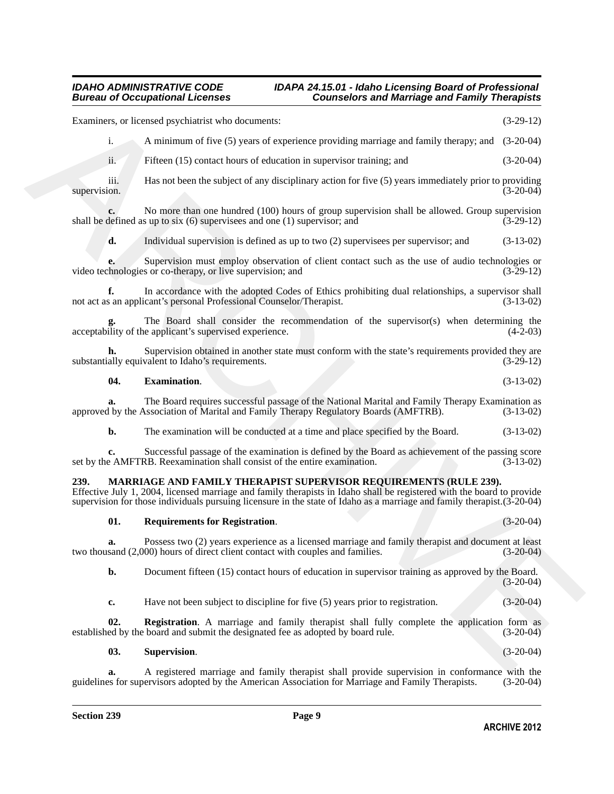<span id="page-8-5"></span><span id="page-8-4"></span><span id="page-8-3"></span><span id="page-8-2"></span><span id="page-8-1"></span><span id="page-8-0"></span>Frameirare, or Renetal responsively as documents:<br>
A ministrator of five (3) years of electrical responses providing matrices and funity theorays and (3.26.12)<br>
if the ministrator of five (3) years of electrical respectiv Examiners, or licensed psychiatrist who documents: (3-29-12) i. A minimum of five (5) years of experience providing marriage and family therapy; and (3-20-04) ii. Fifteen (15) contact hours of education in supervisor training; and (3-20-04) iii. Has not been the subject of any disciplinary action for five (5) years immediately prior to providing (3-20-04) supervision. (3-20-04) **c.** No more than one hundred (100) hours of group supervision shall be allowed. Group supervision defined as up to six (6) supervisees and one (1) supervisor; and shall be defined as up to six  $(6)$  supervisees and one  $(1)$  supervisor; and **d.** Individual supervision is defined as up to two (2) supervisees per supervisor; and (3-13-02) Supervision must employ observation of client contact such as the use of audio technologies or sor co-therapy, or live supervision; and (3-29-12) video technologies or co-therapy, or live supervision; and **f.** In accordance with the adopted Codes of Ethics prohibiting dual relationships, a supervisor shall not act as an applicant's personal Professional Counselor/Therapist. (3-13-02) The Board shall consider the recommendation of the supervisor(s) when determining the e applicant's supervised experience. (4-2-03) acceptability of the applicant's supervised experience. Supervision obtained in another state must conform with the state's requirements provided they are substantially equivalent to Idaho's requirements. (3-29-12) **04. Examination**. (3-13-02) **a.** The Board requires successful passage of the National Marital and Family Therapy Examination as 1 by the Association of Marital and Family Therapy Regulatory Boards (AMFTRB). (3-13-02) approved by the Association of Marital and Family Therapy Regulatory Boards (AMFTRB). **b.** The examination will be conducted at a time and place specified by the Board. (3-13-02) **c.** Successful passage of the examination is defined by the Board as achievement of the passing score e AMFTRB. Reexamination shall consist of the entire examination. (3-13-02) set by the AMFTRB. Reexamination shall consist of the entire examination. **239. MARRIAGE AND FAMILY THERAPIST SUPERVISOR REQUIREMENTS (RULE 239).** Effective July 1, 2004, licensed marriage and family therapists in Idaho shall be registered with the board to provide supervision for those individuals pursuing licensure in the state of Idaho as a marriage and family therapist.(3-20-04) **01. Requirements for Registration**. (3-20-04) **a.** Possess two (2) years experience as a licensed marriage and family therapist and document at least sand (2,000) hours of direct client contact with couples and families. (3-20-04) two thousand (2,000) hours of direct client contact with couples and families. **b.** Document fifteen (15) contact hours of education in supervisor training as approved by the Board. (3-20-04) **c.** Have not been subject to discipline for five (5) years prior to registration.  $(3-20-04)$ **02. Registration**. A marriage and family therapist shall fully complete the application form as established by the board and submit the designated fee as adopted by board rule. (3-20-04) **03. Supervision**. (3-20-04) **a.** A registered marriage and family therapist shall provide supervision in conformance with the guidelines for supervisors adopted by the American Association for Marriage and Family Therapists.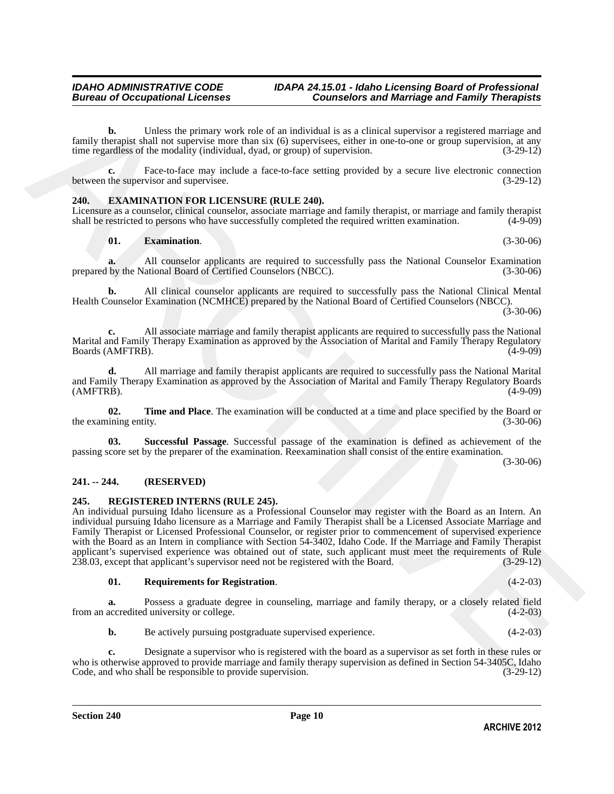**b.** Unless the primary work role of an individual is as a clinical supervisor a registered marriage and family therapist shall not supervise more than six (6) supervisees, either in one-to-one or group supervision, at any time regardless of the modality (individual, dvad, or group) of supervision. time regardless of the modality (individual, dyad, or group) of supervision.

**c.** Face-to-face may include a face-to-face setting provided by a secure live electronic connection the supervisor and supervisee. (3-29-12) between the supervisor and supervisee.

### <span id="page-9-3"></span><span id="page-9-0"></span>**240. EXAMINATION FOR LICENSURE (RULE 240).**

Licensure as a counselor, clinical counselor, associate marriage and family therapist, or marriage and family therapist shall be restricted to persons who have successfully completed the required written examination. (4-9shall be restricted to persons who have successfully completed the required written examination.

### <span id="page-9-4"></span>**01. Examination**. (3-30-06)

**a.** All counselor applicants are required to successfully pass the National Counselor Examination prepared by the National Board of Certified Counselors (NBCC). (3-30-06)

**b.** All clinical counselor applicants are required to successfully pass the National Clinical Mental Health Counselor Examination (NCMHCE) prepared by the National Board of Certified Counselors (NBCC).  $(3-30-06)$ 

**c.** All associate marriage and family therapist applicants are required to successfully pass the National Marital and Family Therapy Examination as approved by the Association of Marital and Family Therapy Regulatory<br>(4-9-09) Boards (AMFTRB).

**d.** All marriage and family therapist applicants are required to successfully pass the National Marital and Family Therapy Examination as approved by the Association of Marital and Family Therapy Regulatory Boards (AMFTRB).  $(AMFTRB)$ . (4-9-09)

<span id="page-9-6"></span>**02. Time and Place**. The examination will be conducted at a time and place specified by the Board or ining entity. (3-30-06) the examining entity.

<span id="page-9-5"></span>**03. Successful Passage**. Successful passage of the examination is defined as achievement of the passing score set by the preparer of the examination. Reexamination shall consist of the entire examination.

(3-30-06)

### <span id="page-9-1"></span>**241. -- 244. (RESERVED)**

### <span id="page-9-7"></span><span id="page-9-2"></span>**245. REGISTERED INTERNS (RULE 245).**

fraction benefits the primary such when of an individual is a calinical energies are proposed and the control of any control of any case of the second of the second of the second of the second of the second of the second An individual pursuing Idaho licensure as a Professional Counselor may register with the Board as an Intern. An individual pursuing Idaho licensure as a Marriage and Family Therapist shall be a Licensed Associate Marriage and Family Therapist or Licensed Professional Counselor, or register prior to commencement of supervised experience with the Board as an Intern in compliance with Section 54-3402, Idaho Code. If the Marriage and Family Therapist applicant's supervised experience was obtained out of state, such applicant must meet the requirements of Rule<br>238.03, except that applicant's supervisor need not be registered with the Board. (3-29-12)  $238.03$ , except that applicant's supervisor need not be registered with the Board.

### <span id="page-9-8"></span>**01. Requirements for Registration**. (4-2-03)

**a.** Possess a graduate degree in counseling, marriage and family therapy, or a closely related field accredited university or college.  $(4-2-03)$ from an accredited university or college.

**b.** Be actively pursuing postgraduate supervised experience. (4-2-03)

**c.** Designate a supervisor who is registered with the board as a supervisor as set forth in these rules or who is otherwise approved to provide marriage and family therapy supervision as defined in Section 54-3405C, Idaho Code, and who shall be responsible to provide supervision. (3-29-12) Code, and who shall be responsible to provide supervision.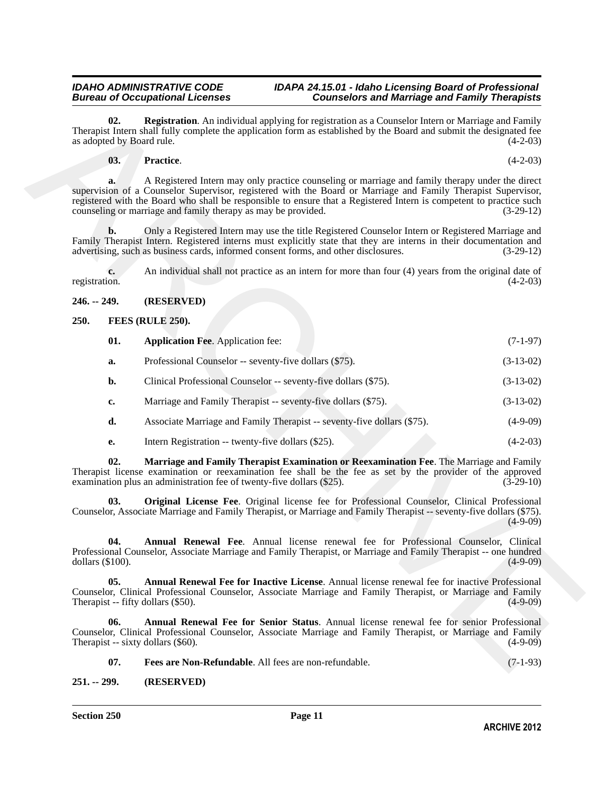**02. Registration**. An individual applying for registration as a Counselor Intern or Marriage and Family Therapist Intern shall fully complete the application form as established by the Board and submit the designated fee as adopted by Board rule. (4-2-03)

### <span id="page-10-12"></span><span id="page-10-11"></span>**03. Practice**. (4-2-03)

**Ca.** Registration, A microideal opplying for registration and Convention the change and Franchy (2.410)<br>
Archives and faith properties the application form as established by the Band and shown be designated by<br>
a st Arc **a.** A Registered Intern may only practice counseling or marriage and family therapy under the direct supervision of a Counselor Supervisor, registered with the Board or Marriage and Family Therapist Supervisor, registered with the Board who shall be responsible to ensure that a Registered Intern is competent to practice such counseling or marriage and family therapy as may be provided. (3-29-12)

**b.** Only a Registered Intern may use the title Registered Counselor Intern or Registered Marriage and Family Therapist Intern. Registered interns must explicitly state that they are interns in their documentation and advertising, such as business cards, informed consent forms, and other disclosures. (3-29-12) advertising, such as business cards, informed consent forms, and other disclosures.

**c.** An individual shall not practice as an intern for more than four (4) years from the original date of registration. (4-2-03) registration. (4-2-03)

### <span id="page-10-0"></span>**246. -- 249. (RESERVED)**

### <span id="page-10-1"></span>**250. FEES (RULE 250).**

<span id="page-10-7"></span><span id="page-10-3"></span>

| 01. | <b>Application Fee.</b> Application fee:               | $(7-1-97)$  |
|-----|--------------------------------------------------------|-------------|
|     | Professional Counselor -- seventy-five dollars (\$75). | $(3-13-02)$ |

- **b.** Clinical Professional Counselor -- seventy-five dollars (\$75). (3-13-02)
- **c.** Marriage and Family Therapist -- seventy-five dollars (\$75). (3-13-02)
- **d.** Associate Marriage and Family Therapist -- seventy-five dollars (\$75). (4-9-09)
- <span id="page-10-10"></span><span id="page-10-9"></span>**e.** Intern Registration -- twenty-five dollars (\$25). (4-2-03)

**02. Marriage and Family Therapist Examination or Reexamination Fee**. The Marriage and Family Therapist license examination or reexamination fee shall be the fee as set by the provider of the approved examination plus an administration fee of twenty-five dollars (\$25). examination plus an administration fee of twenty-five dollars  $(\$25)$ .

**03. Original License Fee**. Original license fee for Professional Counselor, Clinical Professional Counselor, Associate Marriage and Family Therapist, or Marriage and Family Therapist -- seventy-five dollars (\$75).  $(4-9-09)$ 

<span id="page-10-4"></span>**04. Annual Renewal Fee**. Annual license renewal fee for Professional Counselor, Clinical Professional Counselor, Associate Marriage and Family Therapist, or Marriage and Family Therapist -- one hundred dollars  $(\$100)$ .

<span id="page-10-5"></span>**05. Annual Renewal Fee for Inactive License**. Annual license renewal fee for inactive Professional Counselor, Clinical Professional Counselor, Associate Marriage and Family Therapist, or Marriage and Family Therapist  $-$  fifty dollars  $(\$50)$ .

**06. Annual Renewal Fee for Senior Status**. Annual license renewal fee for senior Professional Counselor, Clinical Professional Counselor, Associate Marriage and Family Therapist, or Marriage and Family Therapist  $-$  sixty dollars (\$60).

<span id="page-10-8"></span><span id="page-10-6"></span>**07. Fees are Non-Refundable**. All fees are non-refundable. (7-1-93)

### <span id="page-10-2"></span>**251. -- 299. (RESERVED)**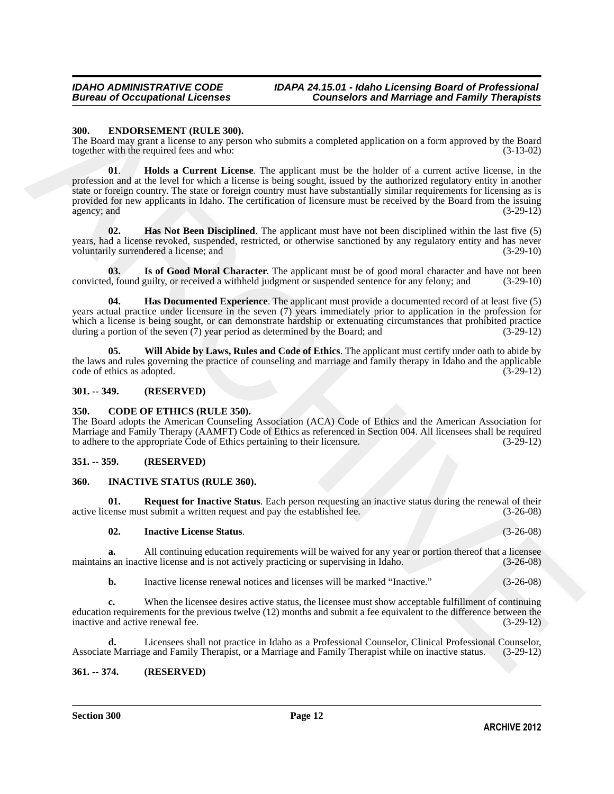### <span id="page-11-7"></span><span id="page-11-0"></span>**300. ENDORSEMENT (RULE 300).**

<span id="page-11-10"></span>The Board may grant a license to any person who submits a completed application on a form approved by the Board together with the required fees and who:  $(3-13-02)$ together with the required fees and who:

**300.** ENDORSNMENT (RULE 300).<br>The Bootstan graves and some solution is completed application on a form upproved by the Bootstan magnitude in the control of the Bootstan (S-3-00) and a magnitude in the system of the syste **01**. **Holds a Current License**. The applicant must be the holder of a current active license, in the profession and at the level for which a license is being sought, issued by the authorized regulatory entity in another state or foreign country. The state or foreign country must have substantially similar requirements for licensing as is provided for new applicants in Idaho. The certification of licensure must be received by the Board from the issuing agency; and (3-29-12) (3-29-12)

<span id="page-11-9"></span>**02. Has Not Been Disciplined**. The applicant must have not been disciplined within the last five (5) years, had a license revoked, suspended, restricted, or otherwise sanctioned by any regulatory entity and has never<br>voluntarily surrendered a license; and  $(3-29-10)$ voluntarily surrendered a license; and

<span id="page-11-11"></span>**03.** Is of Good Moral Character. The applicant must be of good moral character and have not been d, found guilty, or received a withheld judgment or suspended sentence for any felony; and (3-29-10) convicted, found guilty, or received a withheld judgment or suspended sentence for any felony; and

<span id="page-11-8"></span>**04. Has Documented Experience**. The applicant must provide a documented record of at least five (5) years actual practice under licensure in the seven (7) years immediately prior to application in the profession for which a license is being sought, or can demonstrate hardship or extenuating circumstances that prohibited practice during a portion of the seven (7) year period as determined by the Board; and (3-29-12) during a portion of the seven  $(7)$  year period as determined by the Board; and

<span id="page-11-12"></span>**05. Will Abide by Laws, Rules and Code of Ethics**. The applicant must certify under oath to abide by the laws and rules governing the practice of counseling and marriage and family therapy in Idaho and the applicable code of ethics as adopted. (3-29-12) code of ethics as adopted.

### <span id="page-11-1"></span>**301. -- 349. (RESERVED)**

### <span id="page-11-6"></span><span id="page-11-2"></span>**350. CODE OF ETHICS (RULE 350).**

The Board adopts the American Counseling Association (ACA) Code of Ethics and the American Association for Marriage and Family Therapy (AAMFT) Code of Ethics as referenced in Section 004. All licensees shall be required to adhere to the appropriate Code of Ethics pertaining to their licensure. (3-29-12) to adhere to the appropriate Code of Ethics pertaining to their licensure.

### <span id="page-11-3"></span>**351. -- 359. (RESERVED)**

### <span id="page-11-13"></span><span id="page-11-4"></span>**360. INACTIVE STATUS (RULE 360).**

**01. Request for Inactive Status**. Each person requesting an inactive status during the renewal of their ense must submit a written request and pay the established fee.  $(3-26-08)$ active license must submit a written request and pay the established fee.

### <span id="page-11-15"></span><span id="page-11-14"></span>**02. Inactive License Status**. (3-26-08)

**a.** All continuing education requirements will be waived for any year or portion thereof that a licensee s an inactive license and is not actively practicing or supervising in Idaho.  $(3-26-08)$ maintains an inactive license and is not actively practicing or supervising in Idaho.

**b.** Inactive license renewal notices and licenses will be marked "Inactive." (3-26-08)

**c.** When the licensee desires active status, the licensee must show acceptable fulfillment of continuing education requirements for the previous twelve (12) months and submit a fee equivalent to the difference between the inactive and active renewal fee. (3-29-12) inactive and active renewal fee.

**d.** Licensees shall not practice in Idaho as a Professional Counselor, Clinical Professional Counselor, e Marriage and Family Therapist, or a Marriage and Family Therapist while on inactive status. (3-29-12) Associate Marriage and Family Therapist, or a Marriage and Family Therapist while on inactive status.

### <span id="page-11-5"></span>**361. -- 374. (RESERVED)**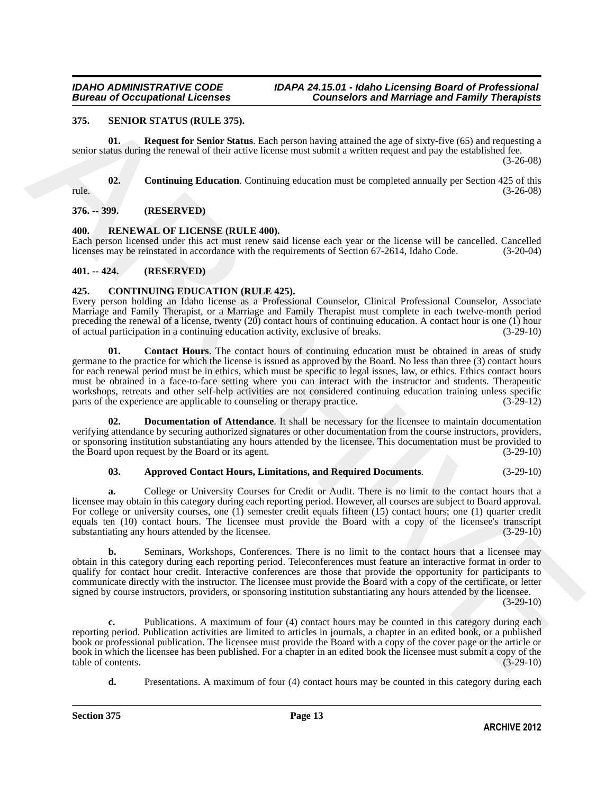### <span id="page-12-10"></span><span id="page-12-0"></span>**375. SENIOR STATUS (RULE 375).**

<span id="page-12-12"></span>**01. Request for Senior Status**. Each person having attained the age of sixty-five (65) and requesting a senior status during the renewal of their active license must submit a written request and pay the established fee. (3-26-08)

<span id="page-12-11"></span>**02.** Continuing Education. Continuing education must be completed annually per Section 425 of this rule. (3-26-08)

<span id="page-12-1"></span>**376. -- 399. (RESERVED)**

### <span id="page-12-9"></span><span id="page-12-2"></span>**400. RENEWAL OF LICENSE (RULE 400).**

Each person licensed under this act must renew said license each year or the license will be cancelled. Cancelled licenses may be reinstated in accordance with the requirements of Section 67-2614. Idaho Code. (3-20-04) licenses may be reinstated in accordance with the requirements of Section 67-2614, Idaho Code.

### <span id="page-12-3"></span>**401. -- 424. (RESERVED)**

### <span id="page-12-5"></span><span id="page-12-4"></span>**425. CONTINUING EDUCATION (RULE 425).**

<span id="page-12-7"></span>Every person holding an Idaho license as a Professional Counselor, Clinical Professional Counselor, Associate Marriage and Family Therapist, or a Marriage and Family Therapist must complete in each twelve-month period preceding the renewal of a license, twenty (20) contact hours of continuing education. A contact hour is one (1) hour<br>of actual participation in a continuing education activity, exclusive of breaks. (3-29-10) of actual participation in a continuing education activity, exclusive of breaks.

378. STVION STATUS (RUTE 2015).<br>
ARCHIVE STATUS (RUTE 2015). Represent the figure function in the space of stars for the space of stars of the space of the space of the space of the space of the space of the space of the **01.** Contact Hours. The contact hours of continuing education must be obtained in areas of study germane to the practice for which the license is issued as approved by the Board. No less than three (3) contact hours for each renewal period must be in ethics, which must be specific to legal issues, law, or ethics. Ethics contact hours must be obtained in a face-to-face setting where you can interact with the instructor and students. Therapeutic workshops, retreats and other self-help activities are not considered continuing education training unless specific parts of the experience are applicable to counseling or therapy practice. (3-29-12) parts of the experience are applicable to counseling or therapy practice.

**02. Documentation of Attendance**. It shall be necessary for the licensee to maintain documentation verifying attendance by securing authorized signatures or other documentation from the course instructors, providers, or sponsoring institution substantiating any hours attended by the licensee. This documentation must be provided to the Board upon request by the Board or its agent. (3-29-10) the Board upon request by the Board or its agent.

### <span id="page-12-8"></span><span id="page-12-6"></span>**03. Approved Contact Hours, Limitations, and Required Documents**. (3-29-10)

**a.** College or University Courses for Credit or Audit. There is no limit to the contact hours that a licensee may obtain in this category during each reporting period. However, all courses are subject to Board approval. For college or university courses, one (1) semester credit equals fifteen (15) contact hours; one (1) quarter credit equals ten (10) contact hours. The licensee must provide the Board with a copy of the licensee's transcript substantiating any hours attended by the licensee. (3-29-10)

**b.** Seminars, Workshops, Conferences. There is no limit to the contact hours that a licensee may obtain in this category during each reporting period. Teleconferences must feature an interactive format in order to qualify for contact hour credit. Interactive conferences are those that provide the opportunity for participants to communicate directly with the instructor. The licensee must provide the Board with a copy of the certificate, or letter signed by course instructors, providers, or sponsoring institution substantiating any hours attended by the licensee.

 $(3-29-10)$ 

**c.** Publications. A maximum of four (4) contact hours may be counted in this category during each reporting period. Publication activities are limited to articles in journals, a chapter in an edited book, or a published book or professional publication. The licensee must provide the Board with a copy of the cover page or the article or book in which the licensee has been published. For a chapter in an edited book the licensee must submit a copy of the table of contents. (3-29-10) table of contents.

**d.** Presentations. A maximum of four (4) contact hours may be counted in this category during each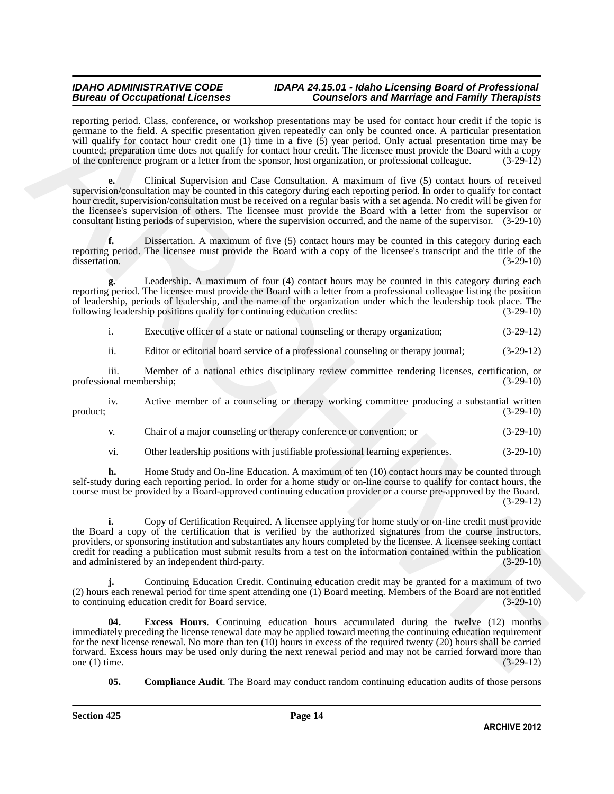reporting period. Class, conference, or workshop presentations may be used for contact hour credit if the topic is germane to the field. A specific presentation given repeatedly can only be counted once. A particular presentation will qualify for contact hour credit one (1) time in a five (5) year period. Only actual presentation time may be counted; preparation time does not qualify for contact hour credit. The licensee must provide the Board with a copy of the conference program or a letter from the sponsor, host organization, or professional colleague. (3-29-12)

**e.** Clinical Supervision and Case Consultation. A maximum of five (5) contact hours of received supervision/consultation may be counted in this category during each reporting period. In order to qualify for contact hour credit, supervision/consultation must be received on a regular basis with a set agenda. No credit will be given for the licensee's supervision of others. The licensee must provide the Board with a letter from the supervisor or consultant listing periods of supervision, where the supervision occurred, and the name of the supervisor. (3-29-10)

**f.** Dissertation. A maximum of five (5) contact hours may be counted in this category during each reporting period. The licensee must provide the Board with a copy of the licensee's transcript and the title of the dissertation. (3-29-10) dissertation. (3-29-10)

**g.** Leadership. A maximum of four (4) contact hours may be counted in this category during each reporting period. The licensee must provide the Board with a letter from a professional colleague listing the position of leadership, periods of leadership, and the name of the organization under which the leadership took place. The following leadership positions qualify for continuing education credits: (3-29-10) following leadership positions qualify for continuing education credits:

i. Executive officer of a state or national counseling or therapy organization; (3-29-12)

ii. Editor or editorial board service of a professional counseling or therapy journal; (3-29-12)

iii. Member of a national ethics disciplinary review committee rendering licenses, certification, or onal membership; (3-29-10) professional membership;

iv. Active member of a counseling or therapy working committee producing a substantial written (3-29-10)  $\text{product};$  (3-29-10)

v. Chair of a major counseling or therapy conference or convention; or (3-29-10)

vi. Other leadership positions with justifiable professional learning experiences. (3-29-10)

**h.** Home Study and On-line Education. A maximum of ten (10) contact hours may be counted through self-study during each reporting period. In order for a home study or on-line course to qualify for contact hours, the course must be provided by a Board-approved continuing education provider or a course pre-approved by the Board. (3-29-12)

reporting period. Class contribute and the results of the result for control in the period Class Chinach results are the period of the results of the period of the results and the results of the results are the results of **i.** Copy of Certification Required. A licensee applying for home study or on-line credit must provide the Board a copy of the certification that is verified by the authorized signatures from the course instructors, providers, or sponsoring institution and substantiates any hours completed by the licensee. A licensee seeking contact credit for reading a publication must submit results from a test on the information contained within the publication and administered by an independent third-party.

**j.** Continuing Education Credit. Continuing education credit may be granted for a maximum of two (2) hours each renewal period for time spent attending one (1) Board meeting. Members of the Board are not entitled to continuing education credit for Board service.

<span id="page-13-1"></span>**04. Excess Hours**. Continuing education hours accumulated during the twelve (12) months immediately preceding the license renewal date may be applied toward meeting the continuing education requirement for the next license renewal. No more than ten (10) hours in excess of the required twenty (20) hours shall be carried forward. Excess hours may be used only during the next renewal period and may not be carried forward more than one  $(1)$  time.

<span id="page-13-0"></span>**05. Compliance Audit**. The Board may conduct random continuing education audits of those persons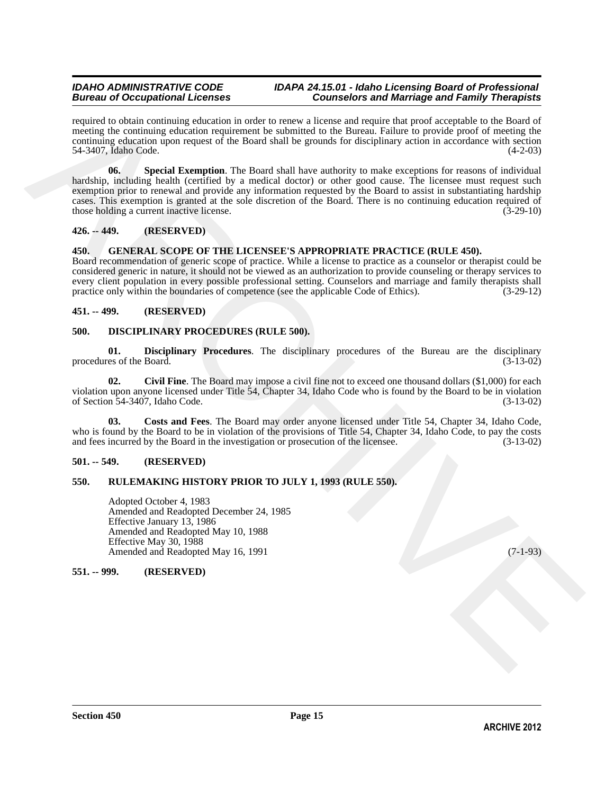<span id="page-14-7"></span>required to obtain continuing education in order to renew a license and require that proof acceptable to the Board of meeting the continuing education requirement be submitted to the Bureau. Failure to provide proof of meeting the continuing education upon request of the Board shall be grounds for disciplinary action in accordance with section 54-3407, Idaho Code. (4-2-03)

respirate to choosing reduction in reduction the state that provides to the controlled to the choice of the choice of the choice of the choice of the choice of the choice of the choice of the choice of the first of the fi **06.** Special Exemption. The Board shall have authority to make exceptions for reasons of individual hardship, including health (certified by a medical doctor) or other good cause. The licensee must request such exemption prior to renewal and provide any information requested by the Board to assist in substantiating hardship cases. This exemption is granted at the sole discretion of the Board. There is no continuing education required of those holding a current inactive license. (3-29-10)

### <span id="page-14-0"></span>**426. -- 449. (RESERVED)**

### <span id="page-14-13"></span><span id="page-14-12"></span><span id="page-14-1"></span>**450. GENERAL SCOPE OF THE LICENSEE'S APPROPRIATE PRACTICE (RULE 450).**

Board recommendation of generic scope of practice. While a license to practice as a counselor or therapist could be considered generic in nature, it should not be viewed as an authorization to provide counseling or therapy services to every client population in every possible professional setting. Counselors and marriage and family therapists shall<br>practice only within the boundaries of competence (see the applicable Code of Ethics). (3-29-12) practice only within the boundaries of competence (see the applicable Code of Ethics).

### <span id="page-14-2"></span>**451. -- 499. (RESERVED)**

### <span id="page-14-8"></span><span id="page-14-3"></span>**500. DISCIPLINARY PROCEDURES (RULE 500).**

<span id="page-14-11"></span>**01. Disciplinary Procedures**. The disciplinary procedures of the Bureau are the disciplinary procedures of the Board. (3-13-02)

<span id="page-14-9"></span>**02.** Civil Fine. The Board may impose a civil fine not to exceed one thousand dollars (\$1,000) for each violation upon anyone licensed under Title 54, Chapter 34, Idaho Code who is found by the Board to be in violation of Section 54-3407, Idaho Code. (3-13-02) of Section  $\overline{54-3407}$ , Idaho Code.

<span id="page-14-10"></span>**03. Costs and Fees**. The Board may order anyone licensed under Title 54, Chapter 34, Idaho Code, who is found by the Board to be in violation of the provisions of Title 54, Chapter 34, Idaho Code, to pay the costs and fees incurred by the Board in the investigation or prosecution of the licensee. (3-13-02)

### <span id="page-14-4"></span>**501. -- 549. (RESERVED)**

### <span id="page-14-5"></span>**550. RULEMAKING HISTORY PRIOR TO JULY 1, 1993 (RULE 550).**

Adopted October 4, 1983 Amended and Readopted December 24, 1985 Effective January 13, 1986 Amended and Readopted May 10, 1988 Effective May 30, 1988 Amended and Readopted May 16, 1991 (7-1-93)

### <span id="page-14-6"></span>**551. -- 999. (RESERVED)**